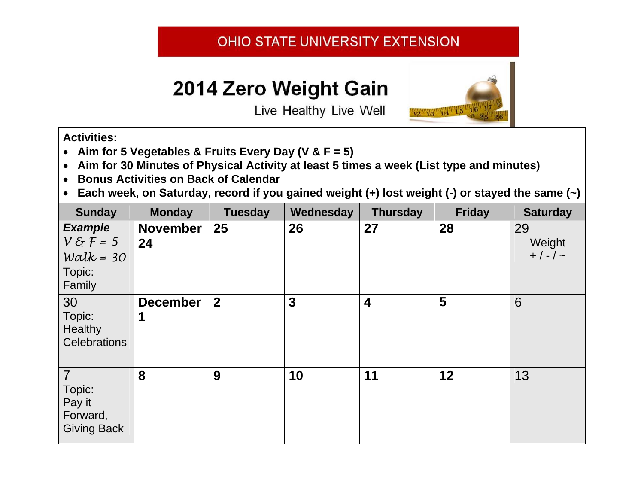## OHIO STATE UNIVERSITY EXTENSION

## 2014 Zero Weight Gain



Live Healthy Live Well

## **Activities:**

- **Aim for 5 Vegetables & Fruits Every Day (V & F = 5)**
- **Aim for 30 Minutes of Physical Activity at least 5 times a week (List type and minutes)**
- $\bullet$ **Bonus Activities on Back of Calendar**
- $\bullet$ **Each week, on Saturday, record if you gained weight (+) lost weight (-) or stayed the same (~)**

| <b>Sunday</b>                                                                          | <b>Monday</b>         | <b>Tuesday</b> | Wednesday | <b>Thursday</b>         | <b>Friday</b> | <b>Saturday</b>                  |
|----------------------------------------------------------------------------------------|-----------------------|----------------|-----------|-------------------------|---------------|----------------------------------|
| <b>Example</b><br>$V \mathcal{E}$ $\mathcal{F}$ = 5<br>Walk = $30$<br>Topic:<br>Family | <b>November</b><br>24 | 25             | 26        | 27                      | 28            | 29<br>Weight<br>$+$ / - / $\sim$ |
| 30<br>Topic:<br>Healthy<br><b>Celebrations</b>                                         | <b>December</b><br>1  | $\overline{2}$ | 3         | $\overline{\mathbf{4}}$ | 5             | 6                                |
| $\overline{7}$<br>Topic:<br>Pay it<br>Forward,<br><b>Giving Back</b>                   | 8                     | 9              | 10        | 11                      | 12            | 13                               |